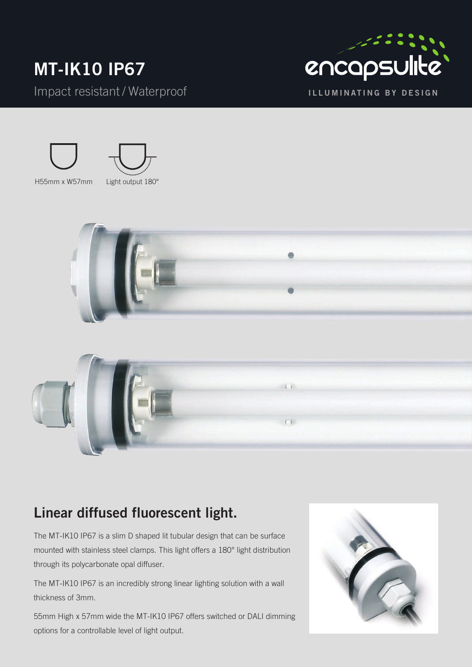## **MT-IK10 IP67** Impact resistant / Waterproof









### **Linear diffused fluorescent light.**

The MT-IK10 IP67 is a slim D shaped lit tubular design that can be surface mounted with stainless steel clamps. This light offers a 180° light distribution through its polycarbonate opal diffuser.

The MT-IK10 IP67 is an incredibly strong linear lighting solution with a wall thickness of 3mm.

55mm High x 57mm wide the MT-IK10 IP67 offers switched or DALI dimming options for a controllable level of light output.